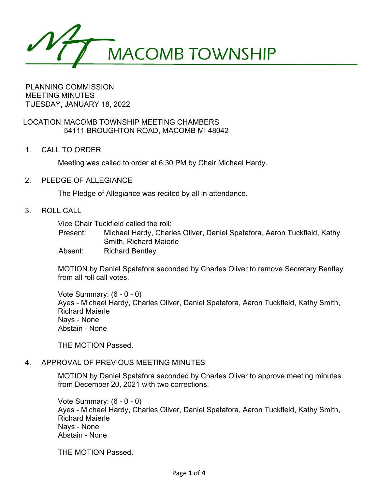MACOMB TOWNSHIP

PLANNING COMMISSION MEETING MINUTES TUESDAY, JANUARY 18, 2022

LOCATION:MACOMB TOWNSHIP MEETING CHAMBERS 54111 BROUGHTON ROAD, MACOMB MI 48042

1. CALL TO ORDER

Meeting was called to order at 6:30 PM by Chair Michael Hardy.

2. PLEDGE OF ALLEGIANCE

The Pledge of Allegiance was recited by all in attendance.

3. ROLL CALL

Vice Chair Tuckfield called the roll:

Present: Michael Hardy, Charles Oliver, Daniel Spatafora, Aaron Tuckfield, Kathy Smith, Richard Maierle

Absent: Richard Bentley

MOTION by Daniel Spatafora seconded by Charles Oliver to remove Secretary Bentley from all roll call votes.

Vote Summary: (6 - 0 - 0) Ayes - Michael Hardy, Charles Oliver, Daniel Spatafora, Aaron Tuckfield, Kathy Smith, Richard Maierle Nays - None Abstain - None

THE MOTION Passed.

# 4. APPROVAL OF PREVIOUS MEETING MINUTES

MOTION by Daniel Spatafora seconded by Charles Oliver to approve meeting minutes from December 20, 2021 with two corrections.

Vote Summary: (6 - 0 - 0) Ayes - Michael Hardy, Charles Oliver, Daniel Spatafora, Aaron Tuckfield, Kathy Smith, Richard Maierle Nays - None Abstain - None

THE MOTION Passed.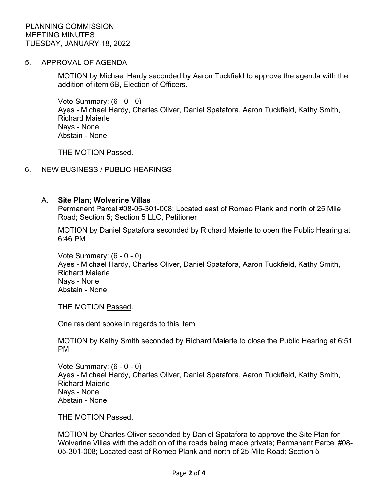5. APPROVAL OF AGENDA

MOTION by Michael Hardy seconded by Aaron Tuckfield to approve the agenda with the addition of item 6B, Election of Officers.

Vote Summary: (6 - 0 - 0) Ayes - Michael Hardy, Charles Oliver, Daniel Spatafora, Aaron Tuckfield, Kathy Smith, Richard Maierle Nays - None Abstain - None

THE MOTION Passed.

#### 6. NEW BUSINESS / PUBLIC HEARINGS

#### A. **Site Plan; Wolverine Villas**

Permanent Parcel #08-05-301-008; Located east of Romeo Plank and north of 25 Mile Road; Section 5; Section 5 LLC, Petitioner

MOTION by Daniel Spatafora seconded by Richard Maierle to open the Public Hearing at 6:46 PM

Vote Summary: (6 - 0 - 0) Ayes - Michael Hardy, Charles Oliver, Daniel Spatafora, Aaron Tuckfield, Kathy Smith, Richard Maierle Nays - None Abstain - None

THE MOTION Passed.

One resident spoke in regards to this item.

MOTION by Kathy Smith seconded by Richard Maierle to close the Public Hearing at 6:51 PM

Vote Summary: (6 - 0 - 0) Ayes - Michael Hardy, Charles Oliver, Daniel Spatafora, Aaron Tuckfield, Kathy Smith, Richard Maierle Nays - None Abstain - None

THE MOTION Passed.

MOTION by Charles Oliver seconded by Daniel Spatafora to approve the Site Plan for Wolverine Villas with the addition of the roads being made private; Permanent Parcel #08- 05-301-008; Located east of Romeo Plank and north of 25 Mile Road; Section 5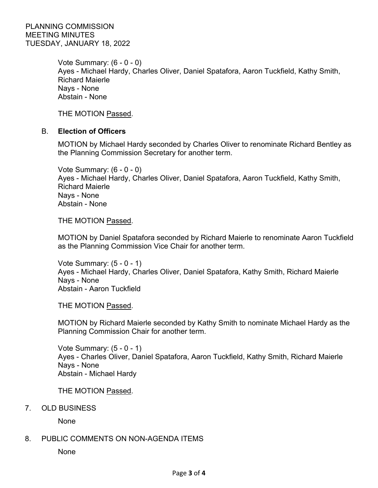Vote Summary: (6 - 0 - 0) Ayes - Michael Hardy, Charles Oliver, Daniel Spatafora, Aaron Tuckfield, Kathy Smith, Richard Maierle Nays - None Abstain - None

THE MOTION Passed.

## B. **Election of Officers**

MOTION by Michael Hardy seconded by Charles Oliver to renominate Richard Bentley as the Planning Commission Secretary for another term.

Vote Summary: (6 - 0 - 0) Ayes - Michael Hardy, Charles Oliver, Daniel Spatafora, Aaron Tuckfield, Kathy Smith, Richard Maierle Nays - None Abstain - None

THE MOTION Passed.

MOTION by Daniel Spatafora seconded by Richard Maierle to renominate Aaron Tuckfield as the Planning Commission Vice Chair for another term.

Vote Summary: (5 - 0 - 1) Ayes - Michael Hardy, Charles Oliver, Daniel Spatafora, Kathy Smith, Richard Maierle Nays - None Abstain - Aaron Tuckfield

THE MOTION Passed.

MOTION by Richard Maierle seconded by Kathy Smith to nominate Michael Hardy as the Planning Commission Chair for another term.

Vote Summary: (5 - 0 - 1) Ayes - Charles Oliver, Daniel Spatafora, Aaron Tuckfield, Kathy Smith, Richard Maierle Nays - None Abstain - Michael Hardy

THE MOTION Passed.

7. OLD BUSINESS

None

## 8. PUBLIC COMMENTS ON NON-AGENDA ITEMS

None